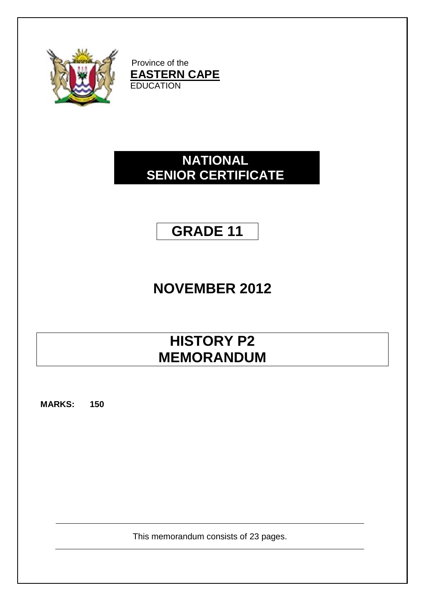

Province of the **EASTERN CAPE EDUCATION** 

# **NATIONAL SENIOR CERTIFICATE**

# **GRADE 11**

# **NOVEMBER 2012**

# **HISTORY P2 MEMORANDUM**

**MARKS: 150**

This memorandum consists of 23 pages.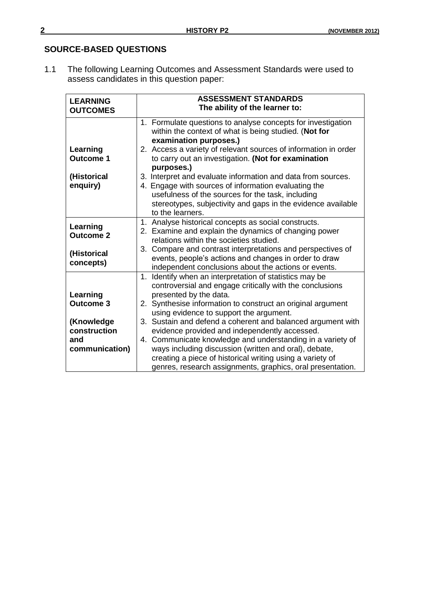# **SOURCE-BASED QUESTIONS**

1.1 The following Learning Outcomes and Assessment Standards were used to assess candidates in this question paper:

| <b>LEARNING</b>  | <b>ASSESSMENT STANDARDS</b>                                                                                                                                                                                        |
|------------------|--------------------------------------------------------------------------------------------------------------------------------------------------------------------------------------------------------------------|
| <b>OUTCOMES</b>  | The ability of the learner to:                                                                                                                                                                                     |
| Learning         | 1. Formulate questions to analyse concepts for investigation<br>within the context of what is being studied. (Not for<br>examination purposes.)<br>2. Access a variety of relevant sources of information in order |
| <b>Outcome 1</b> | to carry out an investigation. (Not for examination<br>purposes.)                                                                                                                                                  |
| (Historical      | 3. Interpret and evaluate information and data from sources.                                                                                                                                                       |
| enquiry)         | 4. Engage with sources of information evaluating the                                                                                                                                                               |
|                  | usefulness of the sources for the task, including                                                                                                                                                                  |
|                  | stereotypes, subjectivity and gaps in the evidence available                                                                                                                                                       |
|                  | to the learners.                                                                                                                                                                                                   |
| Learning         | 1. Analyse historical concepts as social constructs.                                                                                                                                                               |
| <b>Outcome 2</b> | 2. Examine and explain the dynamics of changing power<br>relations within the societies studied.                                                                                                                   |
|                  | 3. Compare and contrast interpretations and perspectives of                                                                                                                                                        |
| (Historical      | events, people's actions and changes in order to draw                                                                                                                                                              |
| concepts)        | independent conclusions about the actions or events.                                                                                                                                                               |
|                  | 1. Identify when an interpretation of statistics may be                                                                                                                                                            |
|                  | controversial and engage critically with the conclusions                                                                                                                                                           |
| Learning         | presented by the data.                                                                                                                                                                                             |
| <b>Outcome 3</b> | 2. Synthesise information to construct an original argument                                                                                                                                                        |
|                  | using evidence to support the argument.                                                                                                                                                                            |
| (Knowledge       | 3. Sustain and defend a coherent and balanced argument with                                                                                                                                                        |
| construction     | evidence provided and independently accessed.                                                                                                                                                                      |
| and              | 4. Communicate knowledge and understanding in a variety of                                                                                                                                                         |
| communication)   | ways including discussion (written and oral), debate,                                                                                                                                                              |
|                  | creating a piece of historical writing using a variety of                                                                                                                                                          |
|                  | genres, research assignments, graphics, oral presentation.                                                                                                                                                         |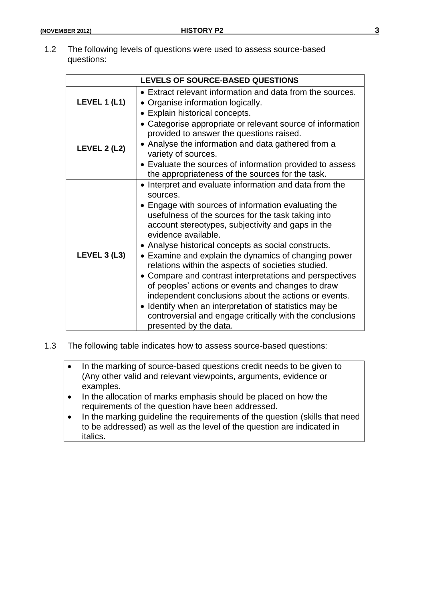1.2 The following levels of questions were used to assess source-based questions:

| <b>LEVELS OF SOURCE-BASED QUESTIONS</b> |                                                                                                                                                                                                                                                                                                                                                                                                                                                                                                                                                                                                                                                                                                                                                          |  |  |  |
|-----------------------------------------|----------------------------------------------------------------------------------------------------------------------------------------------------------------------------------------------------------------------------------------------------------------------------------------------------------------------------------------------------------------------------------------------------------------------------------------------------------------------------------------------------------------------------------------------------------------------------------------------------------------------------------------------------------------------------------------------------------------------------------------------------------|--|--|--|
| LEVEL 1 $(L1)$                          | • Extract relevant information and data from the sources.<br>• Organise information logically.<br>• Explain historical concepts.                                                                                                                                                                                                                                                                                                                                                                                                                                                                                                                                                                                                                         |  |  |  |
| <b>LEVEL 2 (L2)</b>                     | • Categorise appropriate or relevant source of information<br>provided to answer the questions raised.<br>• Analyse the information and data gathered from a<br>variety of sources.<br>• Evaluate the sources of information provided to assess<br>the appropriateness of the sources for the task.                                                                                                                                                                                                                                                                                                                                                                                                                                                      |  |  |  |
| <b>LEVEL 3 (L3)</b>                     | • Interpret and evaluate information and data from the<br>sources.<br>• Engage with sources of information evaluating the<br>usefulness of the sources for the task taking into<br>account stereotypes, subjectivity and gaps in the<br>evidence available.<br>• Analyse historical concepts as social constructs.<br>• Examine and explain the dynamics of changing power<br>relations within the aspects of societies studied.<br>• Compare and contrast interpretations and perspectives<br>of peoples' actions or events and changes to draw<br>independent conclusions about the actions or events.<br>• Identify when an interpretation of statistics may be<br>controversial and engage critically with the conclusions<br>presented by the data. |  |  |  |

- 1.3 The following table indicates how to assess source-based questions:
	- In the marking of source-based questions credit needs to be given to (Any other valid and relevant viewpoints, arguments, evidence or examples.
	- In the allocation of marks emphasis should be placed on how the requirements of the question have been addressed.
	- In the marking guideline the requirements of the question (skills that need to be addressed) as well as the level of the question are indicated in italics.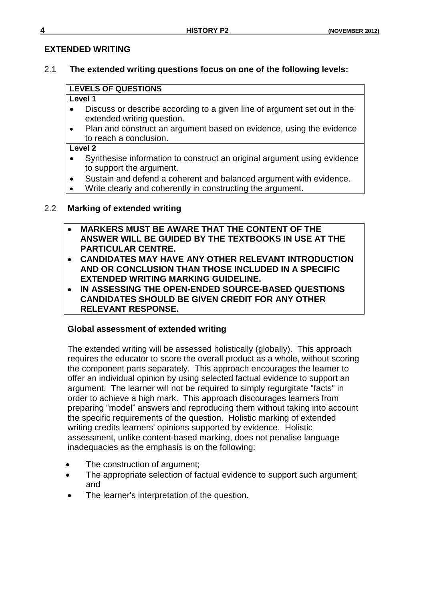# **EXTENDED WRITING**

# 2.1 **The extended writing questions focus on one of the following levels:**

# **LEVELS OF QUESTIONS**

# **Level 1**

- Discuss or describe according to a given line of argument set out in the extended writing question.
- Plan and construct an argument based on evidence, using the evidence to reach a conclusion.

### **Level 2**

- Synthesise information to construct an original argument using evidence to support the argument.
- Sustain and defend a coherent and balanced argument with evidence.
- Write clearly and coherently in constructing the argument.

# 2.2 **Marking of extended writing**

- **MARKERS MUST BE AWARE THAT THE CONTENT OF THE ANSWER WILL BE GUIDED BY THE TEXTBOOKS IN USE AT THE PARTICULAR CENTRE.**
- **CANDIDATES MAY HAVE ANY OTHER RELEVANT INTRODUCTION AND OR CONCLUSION THAN THOSE INCLUDED IN A SPECIFIC EXTENDED WRITING MARKING GUIDELINE.**
- **IN ASSESSING THE OPEN-ENDED SOURCE-BASED QUESTIONS CANDIDATES SHOULD BE GIVEN CREDIT FOR ANY OTHER RELEVANT RESPONSE.**

# **Global assessment of extended writing**

The extended writing will be assessed holistically (globally). This approach requires the educator to score the overall product as a whole, without scoring the component parts separately. This approach encourages the learner to offer an individual opinion by using selected factual evidence to support an argument. The learner will not be required to simply regurgitate "facts" in order to achieve a high mark. This approach discourages learners from preparing "model" answers and reproducing them without taking into account the specific requirements of the question. Holistic marking of extended writing credits learners' opinions supported by evidence. Holistic assessment, unlike content-based marking, does not penalise language inadequacies as the emphasis is on the following:

- The construction of argument;
- The appropriate selection of factual evidence to support such argument; and
- The learner's interpretation of the question.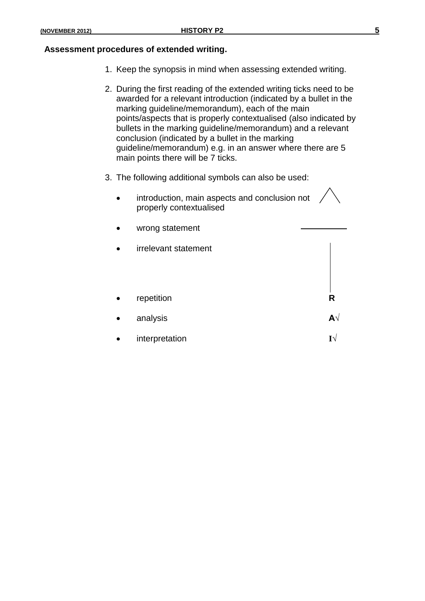#### **Assessment procedures of extended writing.**

- 1. Keep the synopsis in mind when assessing extended writing.
- 2. During the first reading of the extended writing ticks need to be awarded for a relevant introduction (indicated by a bullet in the marking guideline/memorandum), each of the main points/aspects that is properly contextualised (also indicated by bullets in the marking guideline/memorandum) and a relevant conclusion (indicated by a bullet in the marking guideline/memorandum) e.g. in an answer where there are 5 main points there will be 7 ticks.
- 3. The following additional symbols can also be used:
	- **•** introduction, main aspects and conclusion not properly contextualised
		-

- wrong statement
- irrelevant statement
- repetition **R**
- analysis **A√**
- interpretation **I√**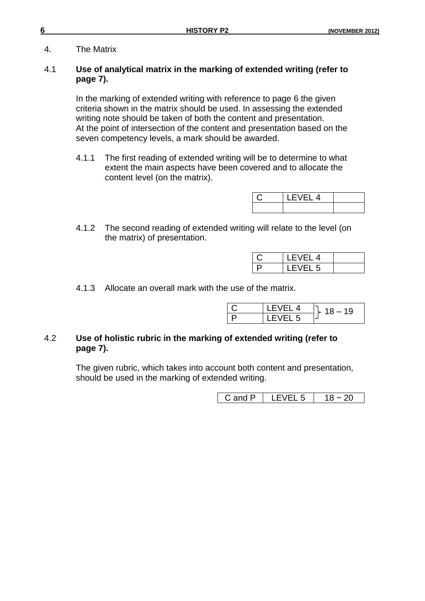4. The Matrix

# 4.1 **Use of analytical matrix in the marking of extended writing (refer to page 7).**

In the marking of extended writing with reference to page 6 the given criteria shown in the matrix should be used. In assessing the extended writing note should be taken of both the content and presentation. At the point of intersection of the content and presentation based on the seven competency levels, a mark should be awarded.

4.1.1 The first reading of extended writing will be to determine to what extent the main aspects have been covered and to allocate the content level (on the matrix).

| $\vdash$<br>VヒL 4 |  |
|-------------------|--|
|                   |  |

4.1.2 The second reading of extended writing will relate to the level (on the matrix) of presentation.

| I FVFI 4 |  |
|----------|--|
| LEVEL 5  |  |

4.1.3 Allocate an overall mark with the use of the matrix.

| FVH 4  | 19 |
|--------|----|
| EVEL 5 |    |

# 4.2 **Use of holistic rubric in the marking of extended writing (refer to page 7).**

The given rubric, which takes into account both content and presentation, should be used in the marking of extended writing.

|  | . .<br>- | - |
|--|----------|---|
|--|----------|---|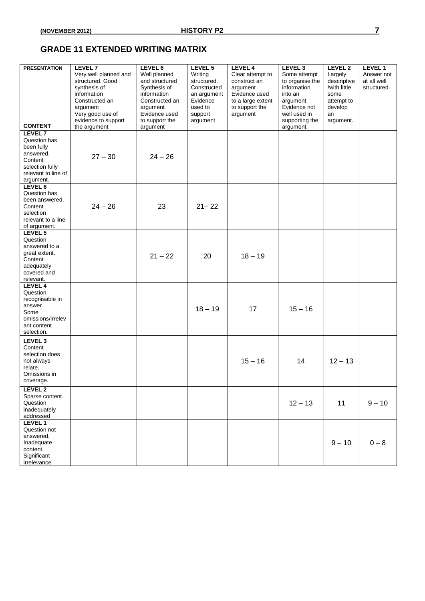# **GRADE 11 EXTENDED WRITING MATRIX**

| <b>PRESENTATION</b>                                                                                                  | LEVEL 7<br>Very well planned and<br>structured. Good<br>synthesis of<br>information<br>Constructed an<br>argument<br>Very good use of<br>evidence to support | LEVEL 6<br>Well planned<br>and structured<br>Synthesis of<br>information<br>Constructed an<br>argument<br>Evidence used<br>to support the | LEVEL 5<br>Writing<br>structured.<br>Constructed<br>an argument<br>Evidence<br>used to<br>support<br>argument | LEVEL 4<br>Clear attempt to<br>construct an<br>argument<br>Evidence used<br>to a large extent<br>to support the<br>argument | LEVEL <sub>3</sub><br>Some attempt<br>to organise the<br>information<br>into an<br>argument<br>Evidence not<br>well used in<br>supporting the | LEVEL <sub>2</sub><br>Largely<br>descriptive<br>/with little<br>some<br>attempt to<br>develop<br>an<br>argument. | LEVEL 1<br>Answer not<br>at all well<br>structured. |
|----------------------------------------------------------------------------------------------------------------------|--------------------------------------------------------------------------------------------------------------------------------------------------------------|-------------------------------------------------------------------------------------------------------------------------------------------|---------------------------------------------------------------------------------------------------------------|-----------------------------------------------------------------------------------------------------------------------------|-----------------------------------------------------------------------------------------------------------------------------------------------|------------------------------------------------------------------------------------------------------------------|-----------------------------------------------------|
| <b>CONTENT</b>                                                                                                       | the argument                                                                                                                                                 | argument                                                                                                                                  |                                                                                                               |                                                                                                                             | argument.                                                                                                                                     |                                                                                                                  |                                                     |
| LEVEL 7<br>Question has<br>been fully<br>answered.<br>Content<br>selection fully<br>relevant to line of<br>argument. | $27 - 30$                                                                                                                                                    | $24 - 26$                                                                                                                                 |                                                                                                               |                                                                                                                             |                                                                                                                                               |                                                                                                                  |                                                     |
| LEVEL 6<br>Question has<br>been answered.<br>Content<br>selection<br>relevant to a line<br>of argument.              | $24 - 26$                                                                                                                                                    | 23                                                                                                                                        | $21 - 22$                                                                                                     |                                                                                                                             |                                                                                                                                               |                                                                                                                  |                                                     |
| LEVEL 5<br>Question<br>answered to a<br>great extent.<br>Content<br>adequately<br>covered and<br>relevant.           |                                                                                                                                                              | $21 - 22$                                                                                                                                 | 20                                                                                                            | $18 - 19$                                                                                                                   |                                                                                                                                               |                                                                                                                  |                                                     |
| LEVEL 4<br>Question<br>recognisable in<br>answer.<br>Some<br>omissions/irrelev<br>ant content<br>selection.          |                                                                                                                                                              |                                                                                                                                           | $18 - 19$                                                                                                     | 17                                                                                                                          | $15 - 16$                                                                                                                                     |                                                                                                                  |                                                     |
| LEVEL <sub>3</sub><br>Content<br>selection does<br>not always<br>relate.<br>Omissions in<br>coverage.                |                                                                                                                                                              |                                                                                                                                           |                                                                                                               | $15 - 16$                                                                                                                   | 14                                                                                                                                            | $12 - 13$                                                                                                        |                                                     |
| LEVEL 2<br>Sparse content.<br>Question<br>inadequately<br>addressed                                                  |                                                                                                                                                              |                                                                                                                                           |                                                                                                               |                                                                                                                             | $12 - 13$                                                                                                                                     | 11                                                                                                               | $9 - 10$                                            |
| LEVEL <sub>1</sub><br>Question not<br>answered.<br>Inadequate<br>content.<br>Significant<br>irrelevance              |                                                                                                                                                              |                                                                                                                                           |                                                                                                               |                                                                                                                             |                                                                                                                                               | $9 - 10$                                                                                                         | $0 - 8$                                             |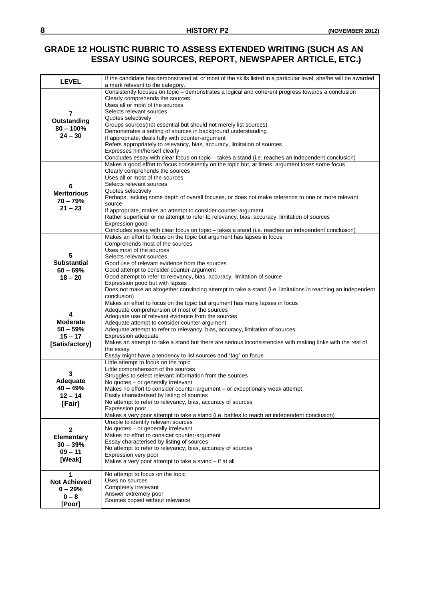#### **GRADE 12 HOLISTIC RUBRIC TO ASSESS EXTENDED WRITING (SUCH AS AN ESSAY USING SOURCES, REPORT, NEWSPAPER ARTICLE, ETC.)**

| <b>LEVEL</b>        | If the candidate has demonstrated all or most of the skills listed in a particular level, she/he will be awarded                   |
|---------------------|------------------------------------------------------------------------------------------------------------------------------------|
|                     | a mark relevant to the category.                                                                                                   |
|                     | Consistently focuses on topic - demonstrates a logical and coherent progress towards a conclusion                                  |
|                     | Clearly comprehends the sources                                                                                                    |
|                     | Uses all or most of the sources                                                                                                    |
| 7                   | Selects relevant sources                                                                                                           |
|                     | Quotes selectively                                                                                                                 |
| Outstanding         | Groups sources(not essential but should not merely list sources)                                                                   |
| $80 - 100\%$        | Demonstrates a setting of sources in background understanding                                                                      |
| $24 - 30$           | If appropriate, deals fully with counter-argument                                                                                  |
|                     | Refers appropriately to relevancy, bias, accuracy, limitation of sources                                                           |
|                     | Expresses him/herself clearly                                                                                                      |
|                     | Concludes essay with clear focus on topic - takes a stand (i.e. reaches an independent conclusion)                                 |
|                     | Makes a good effort to focus consistently on the topic but, at times, argument loses some focus                                    |
|                     | Clearly comprehends the sources                                                                                                    |
|                     | Uses all or most of the sources                                                                                                    |
|                     |                                                                                                                                    |
| 6                   | Selects relevant sources                                                                                                           |
| <b>Meritorious</b>  | Quotes selectively                                                                                                                 |
| $70 - 79%$          | Perhaps, lacking some depth of overall focuses, or does not make reference to one or more relevant                                 |
| $21 - 23$           | source.                                                                                                                            |
|                     | If appropriate, makes an attempt to consider counter-argument                                                                      |
|                     | Rather superficial or no attempt to refer to relevancy, bias, accuracy, limitation of sources                                      |
|                     | Expression good                                                                                                                    |
|                     | Concludes essay with clear focus on topic - takes a stand (i.e. reaches an independent conclusion)                                 |
|                     | Makes an effort to focus on the topic but argument has lapses in focus                                                             |
|                     | Comprehends most of the sources                                                                                                    |
|                     | Uses most of the sources                                                                                                           |
| 5                   | Selects relevant sources                                                                                                           |
| <b>Substantial</b>  | Good use of relevant evidence from the sources                                                                                     |
| $60 - 69%$          | Good attempt to consider counter-argument                                                                                          |
| $18 - 20$           | Good attempt to refer to relevancy, bias, accuracy, limitation of source                                                           |
|                     | Expression good but with lapses                                                                                                    |
|                     | Does not make an altogether convincing attempt to take a stand (i.e. limitations in reaching an independent                        |
|                     | conclusion)                                                                                                                        |
|                     | Makes an effort to focus on the topic but argument has many lapses in focus                                                        |
|                     | Adequate comprehension of most of the sources                                                                                      |
| 4                   | Adequate use of relevant evidence from the sources                                                                                 |
| <b>Moderate</b>     | Adequate attempt to consider counter-argument                                                                                      |
| $50 - 59%$          | Adequate attempt to refer to relevancy, bias, accuracy, limitation of sources                                                      |
| $15 - 17$           | Expression adequate                                                                                                                |
|                     | Makes an attempt to take a stand but there are serious inconsistencies with making links with the rest of                          |
| [Satisfactory]      | the essay                                                                                                                          |
|                     | Essay might have a tendency to list sources and "tag" on focus                                                                     |
|                     | Little attempt to focus on the topic                                                                                               |
|                     | Little comprehension of the sources                                                                                                |
| 3                   | Struggles to select relevant information from the sources                                                                          |
| Adequate            | No quotes - or generally irrelevant                                                                                                |
| $40 - 49%$          | Makes no effort to consider counter-argument – or exceptionally weak attempt                                                       |
| $12 - 14$           | Easily characterised by listing of sources                                                                                         |
|                     | No attempt to refer to relevancy, bias, accuracy of sources                                                                        |
| [Fair]              | Expression poor                                                                                                                    |
|                     |                                                                                                                                    |
|                     | Makes a very poor attempt to take a stand (i.e. battles to reach an independent conclusion)<br>Unable to identify relevant sources |
|                     |                                                                                                                                    |
| 2                   | No quotes - or generally irrelevant                                                                                                |
| <b>Elementary</b>   | Makes no effort to consider counter-argument                                                                                       |
| $30 - 39%$          | Essay characterised by listing of sources                                                                                          |
| $09 - 11$           | No attempt to refer to relevancy, bias, accuracy of sources                                                                        |
| [Weak]              | Expression very poor                                                                                                               |
|                     | Makes a very poor attempt to take a stand - if at all                                                                              |
| 1                   | No attempt to focus on the topic                                                                                                   |
| <b>Not Achieved</b> | Uses no sources                                                                                                                    |
|                     | Completely irrelevant                                                                                                              |
| $0 - 29%$           | Answer extremely poor                                                                                                              |
| $0 - 8$             | Sources copied without relevance                                                                                                   |
| [Poor]              |                                                                                                                                    |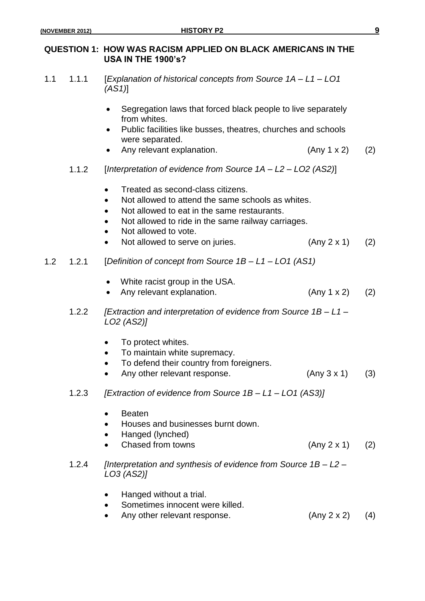### **QUESTION 1: HOW WAS RACISM APPLIED ON BLACK AMERICANS IN THE USA IN THE 1900's?**

- 1.1 1.1.1 [*Explanation of historical concepts from Source 1A – L1 – LO1 (AS1)*]
	- Segregation laws that forced black people to live separately from whites.
	- Public facilities like busses, theatres, churches and schools were separated.
	- Any relevant explanation.  $(Any 1 x 2)$  (2)
	- 1.1.2 [*Interpretation of evidence from Source 1A – L2 – LO2 (AS2)*]
		- Treated as second-class citizens.
		- Not allowed to attend the same schools as whites.
		- Not allowed to eat in the same restaurants.
		- Not allowed to ride in the same railway carriages.
		- Not allowed to vote.
		- Not allowed to serve on juries.  $(Any 2 x 1)$  (2)
- 1.2 1.2.1 [*Definition of concept from Source 1B – L1 – LO1 (AS1)*
	- White racist group in the USA.
	- Any relevant explanation. (Any 1 x 2) (2)
	- 1.2.2 *[Extraction and interpretation of evidence from Source 1B – L1 – LO2 (AS2)]*
		- To protect whites.
		- To maintain white supremacy.
		- To defend their country from foreigners.
		- Any other relevant response.(Any 3 x 1) (3)
	- 1.2.3 *[Extraction of evidence from Source 1B – L1 – LO1 (AS3)]*
		- **Beaten**
		- Houses and businesses burnt down.
		- Hanged (lynched)
		- Chased from towns (Any 2 x 1) (2)
	- 1.2.4 *[Interpretation and synthesis of evidence from Source 1B – L2 – LO3 (AS2)]*
		- Hanged without a trial.
		- Sometimes innocent were killed.
		- Any other relevant response. (Any 2 x 2) (4)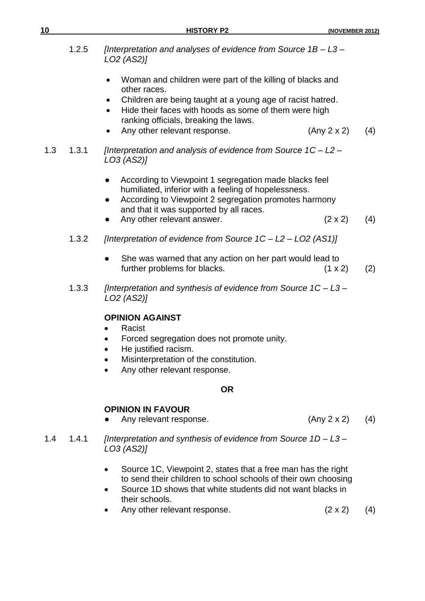| 1.2.5 | LO2 (AS2)]                                                                                                                                                                       |                |                                                                                                                                                                                                                                                                                                                                                                                                                                                                                                                                                                                                                                                                                                                                                                                                                                                                                                                                                                          |
|-------|----------------------------------------------------------------------------------------------------------------------------------------------------------------------------------|----------------|--------------------------------------------------------------------------------------------------------------------------------------------------------------------------------------------------------------------------------------------------------------------------------------------------------------------------------------------------------------------------------------------------------------------------------------------------------------------------------------------------------------------------------------------------------------------------------------------------------------------------------------------------------------------------------------------------------------------------------------------------------------------------------------------------------------------------------------------------------------------------------------------------------------------------------------------------------------------------|
|       | $\bullet$<br>other races.<br>٠<br>$\bullet$<br>ranking officials, breaking the laws.<br>Any other relevant response.<br>٠                                                        | (Any 2 x 2)    | (4)                                                                                                                                                                                                                                                                                                                                                                                                                                                                                                                                                                                                                                                                                                                                                                                                                                                                                                                                                                      |
| 1.3.1 | LO3 (AS2)]                                                                                                                                                                       |                |                                                                                                                                                                                                                                                                                                                                                                                                                                                                                                                                                                                                                                                                                                                                                                                                                                                                                                                                                                          |
|       | $\bullet$<br>and that it was supported by all races.<br>Any other relevant answer.                                                                                               | $(2 \times 2)$ | (4)                                                                                                                                                                                                                                                                                                                                                                                                                                                                                                                                                                                                                                                                                                                                                                                                                                                                                                                                                                      |
| 1.3.2 |                                                                                                                                                                                  |                |                                                                                                                                                                                                                                                                                                                                                                                                                                                                                                                                                                                                                                                                                                                                                                                                                                                                                                                                                                          |
|       | further problems for blacks.                                                                                                                                                     | $(1 \times 2)$ | (2)                                                                                                                                                                                                                                                                                                                                                                                                                                                                                                                                                                                                                                                                                                                                                                                                                                                                                                                                                                      |
| 1.3.3 | LO2 (AS2)]                                                                                                                                                                       |                |                                                                                                                                                                                                                                                                                                                                                                                                                                                                                                                                                                                                                                                                                                                                                                                                                                                                                                                                                                          |
|       | <b>OPINION AGAINST</b><br>Racist<br>Forced segregation does not promote unity.<br>He justified racism.<br>Misinterpretation of the constitution.<br>Any other relevant response. |                |                                                                                                                                                                                                                                                                                                                                                                                                                                                                                                                                                                                                                                                                                                                                                                                                                                                                                                                                                                          |
|       | <b>OR</b>                                                                                                                                                                        |                |                                                                                                                                                                                                                                                                                                                                                                                                                                                                                                                                                                                                                                                                                                                                                                                                                                                                                                                                                                          |
|       | <b>OPINION IN FAVOUR</b><br>Any relevant response.                                                                                                                               | (Any 2 x 2)    | (4)                                                                                                                                                                                                                                                                                                                                                                                                                                                                                                                                                                                                                                                                                                                                                                                                                                                                                                                                                                      |
| 1.4.1 | LO3 (AS2)]                                                                                                                                                                       |                |                                                                                                                                                                                                                                                                                                                                                                                                                                                                                                                                                                                                                                                                                                                                                                                                                                                                                                                                                                          |
|       | their schools.                                                                                                                                                                   |                |                                                                                                                                                                                                                                                                                                                                                                                                                                                                                                                                                                                                                                                                                                                                                                                                                                                                                                                                                                          |
|       | Any other relevant response.                                                                                                                                                     | $(2 \times 2)$ | (4)                                                                                                                                                                                                                                                                                                                                                                                                                                                                                                                                                                                                                                                                                                                                                                                                                                                                                                                                                                      |
|       |                                                                                                                                                                                  |                | [Interpretation and analyses of evidence from Source 1B - L3 -<br>Woman and children were part of the killing of blacks and<br>Children are being taught at a young age of racist hatred.<br>Hide their faces with hoods as some of them were high<br>[Interpretation and analysis of evidence from Source $1C - L2 -$<br>According to Viewpoint 1 segregation made blacks feel<br>humiliated, inferior with a feeling of hopelessness.<br>According to Viewpoint 2 segregation promotes harmony<br>[Interpretation of evidence from Source $1C - L2 - L02$ (AS1)]<br>She was warned that any action on her part would lead to<br>[Interpretation and synthesis of evidence from Source $1C - L3 -$<br>[Interpretation and synthesis of evidence from Source $1D - L3 -$<br>Source 1C, Viewpoint 2, states that a free man has the right<br>to send their children to school schools of their own choosing<br>Source 1D shows that white students did not want blacks in |

**10 HISTORY P2 (NOVEMBER 2012)**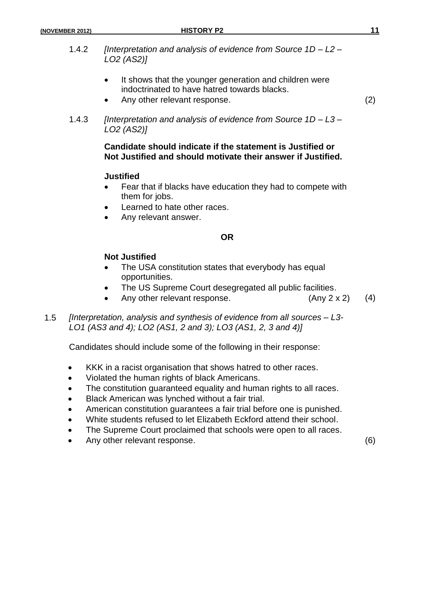- 1.4.2 *[Interpretation and analysis of evidence from Source 1D – L2 – LO2 (AS2)]*
	- It shows that the younger generation and children were indoctrinated to have hatred towards blacks.
	- Any other relevant response. (2)
- 1.4.3 *[Interpretation and analysis of evidence from Source 1D – L3 – LO2 (AS2)]*

#### **Candidate should indicate if the statement is Justified or Not Justified and should motivate their answer if Justified.**

#### **Justified**

- Fear that if blacks have education they had to compete with them for jobs.
- Learned to hate other races.
- Any relevant answer.

#### **OR**

#### **Not Justified**

- The USA constitution states that everybody has equal opportunities.
- The US Supreme Court desegregated all public facilities.
- Any other relevant response. (Any 2 x 2) (4)
- 1.5 *[Interpretation, analysis and synthesis of evidence from all sources – L3- LO1 (AS3 and 4); LO2 (AS1, 2 and 3); LO3 (AS1, 2, 3 and 4)]*

Candidates should include some of the following in their response:

- KKK in a racist organisation that shows hatred to other races.
- Violated the human rights of black Americans.
- The constitution guaranteed equality and human rights to all races.
- Black American was lynched without a fair trial.
- American constitution guarantees a fair trial before one is punished.
- White students refused to let Elizabeth Eckford attend their school.
- The Supreme Court proclaimed that schools were open to all races.
- Any other relevant response. (6)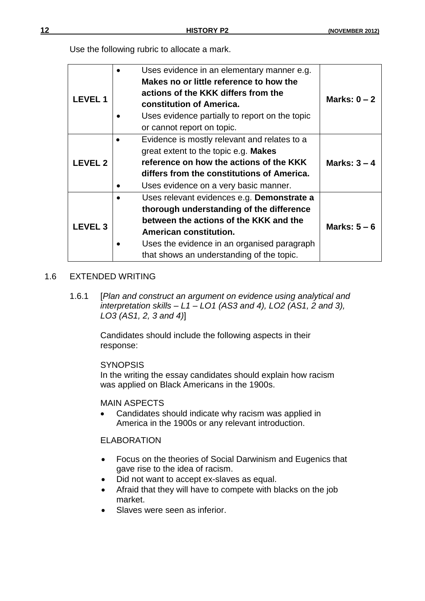Use the following rubric to allocate a mark.

|                | Uses evidence in an elementary manner e.g.     |                |
|----------------|------------------------------------------------|----------------|
|                | Makes no or little reference to how the        |                |
|                | actions of the KKK differs from the            | Marks: $0 - 2$ |
| <b>LEVEL 1</b> | constitution of America.                       |                |
|                | Uses evidence partially to report on the topic |                |
|                | or cannot report on topic.                     |                |
|                | Evidence is mostly relevant and relates to a   |                |
|                | great extent to the topic e.g. Makes           |                |
| <b>LEVEL 2</b> | reference on how the actions of the KKK        | Marks: $3 - 4$ |
|                | differs from the constitutions of America.     |                |
|                | Uses evidence on a very basic manner.          |                |
|                | Uses relevant evidences e.g. Demonstrate a     |                |
|                | thorough understanding of the difference       |                |
|                | between the actions of the KKK and the         | Marks: $5-6$   |
| <b>LEVEL 3</b> | American constitution.                         |                |
|                | Uses the evidence in an organised paragraph    |                |
|                | that shows an understanding of the topic.      |                |

# 1.6 EXTENDED WRITING

1.6.1 [*Plan and construct an argument on evidence using analytical and interpretation skills – L1 – LO1 (AS3 and 4), LO2 (AS1, 2 and 3), LO3 (AS1, 2, 3 and 4)*]

> Candidates should include the following aspects in their response:

#### **SYNOPSIS**

In the writing the essay candidates should explain how racism was applied on Black Americans in the 1900s.

MAIN ASPECTS

 Candidates should indicate why racism was applied in America in the 1900s or any relevant introduction.

# ELABORATION

- Focus on the theories of Social Darwinism and Eugenics that gave rise to the idea of racism.
- Did not want to accept ex-slaves as equal.
- Afraid that they will have to compete with blacks on the job market.
- Slaves were seen as inferior.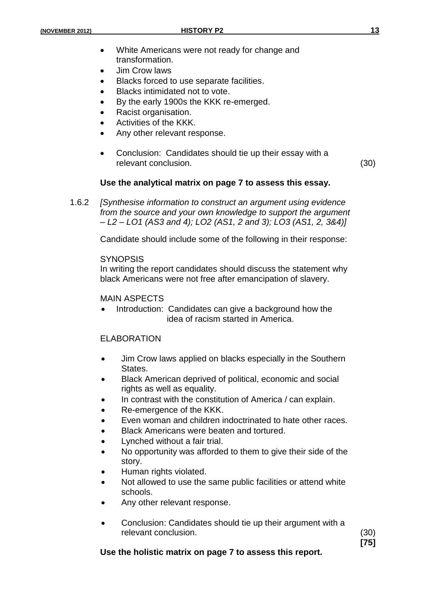**[75]**

- White Americans were not ready for change and transformation.
- Jim Crow laws
- Blacks forced to use separate facilities.
- Blacks intimidated not to vote.
- By the early 1900s the KKK re-emerged.
- Racist organisation.
- Activities of the KKK.
- Any other relevant response.
- Conclusion: Candidates should tie up their essay with a relevant conclusion. (30)

**Use the analytical matrix on page 7 to assess this essay.**

1.6.2 *[Synthesise information to construct an argument using evidence from the source and your own knowledge to support the argument – L2 – LO1 (AS3 and 4); LO2 (AS1, 2 and 3); LO3 (AS1, 2, 3&4)]*

Candidate should include some of the following in their response:

### **SYNOPSIS**

In writing the report candidates should discuss the statement why black Americans were not free after emancipation of slavery.

# MAIN ASPECTS

 Introduction: Candidates can give a background how the idea of racism started in America.

# ELABORATION

- Jim Crow laws applied on blacks especially in the Southern States.
- Black American deprived of political, economic and social rights as well as equality.
- In contrast with the constitution of America / can explain.
- Re-emergence of the KKK.
- Even woman and children indoctrinated to hate other races.
- Black Americans were beaten and tortured.
- Lynched without a fair trial.
- No opportunity was afforded to them to give their side of the story.
- Human rights violated.
- Not allowed to use the same public facilities or attend white schools.
- Any other relevant response.
- Conclusion: Candidates should tie up their argument with a relevant conclusion. (30)

**Use the holistic matrix on page 7 to assess this report.**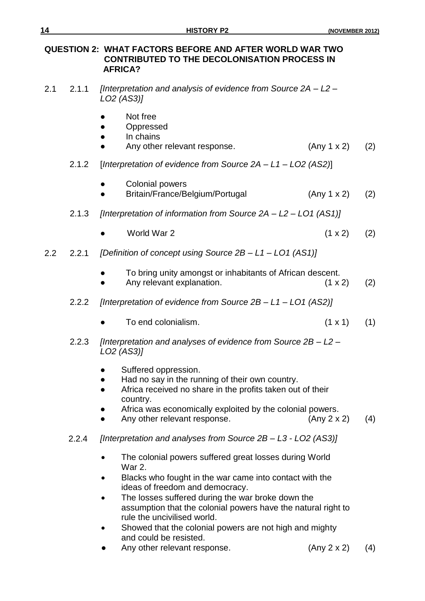| 2.1.1 | [Interpretation and analysis of evidence from Source $2A - L2 -$<br>LO2 (AS3)]                                                                    |     |
|-------|---------------------------------------------------------------------------------------------------------------------------------------------------|-----|
|       | Not free<br>Oppressed<br>In chains<br>Any other relevant response.<br>(Any 1 x 2)                                                                 | (2) |
| 2.1.2 | [Interpretation of evidence from Source 2A - L1 - LO2 (AS2)]                                                                                      |     |
|       | <b>Colonial powers</b><br>Britain/France/Belgium/Portugal<br>(Any 1 x 2)                                                                          | (2) |
| 2.1.3 | [Interpretation of information from Source $2A - L2 - L01$ (AS1)]                                                                                 |     |
|       | World War 2<br>$(1 \times 2)$                                                                                                                     | (2) |
| 2.2.1 | [Definition of concept using Source $2B - L1 - L01$ (AS1)]                                                                                        |     |
|       | To bring unity amongst or inhabitants of African descent.<br>Any relevant explanation.<br>$(1 \times 2)$                                          | (2) |
| 2.2.2 | [Interpretation of evidence from Source $2B - L1 - L01$ (AS2)]                                                                                    |     |
|       | To end colonialism.<br>(1 x 1)                                                                                                                    | (1) |
| 2.2.3 | [Interpretation and analyses of evidence from Source 2B - L2 -<br>LO2 (AS3)]                                                                      |     |
|       | Suffered oppression.<br>Had no say in the running of their own country.<br>Africa received no share in the profits taken out of their<br>country. |     |
|       | Africa was economically exploited by the colonial powers.<br>Any other relevant response.<br>(Any 2 x 2)                                          | (4) |
| 2.2.4 | [Interpretation and analyses from Source $2B - L3 - L02$ (AS3)]                                                                                   |     |
|       | The colonial powers suffered great losses during World<br>$\bullet$<br>War 2.                                                                     |     |
|       | Blacks who fought in the war came into contact with the<br>ideas of freedom and democracy.                                                        |     |
|       | The losses suffered during the war broke down the<br>assumption that the colonial powers have the natural right to<br>rule the uncivilised world. |     |
|       | Showed that the colonial powers are not high and mighty<br>and could be resisted.                                                                 |     |
|       | Any other relevant response<br>$(\text{Any } 2 \times 2)$                                                                                         | (4) |

#### **QUESTION 2: WHAT FACTORS BEFORE AND AFTER WORLD WAR TWO CONTRIBUTED TO THE DECOLONISATION PROCESS IN AFRICA?**

2.1 2.1.1 *[Interpretation and analysis of evidence from Source 2A – L2 –*

● Any other relevant response. (Any 2 x 2) (4)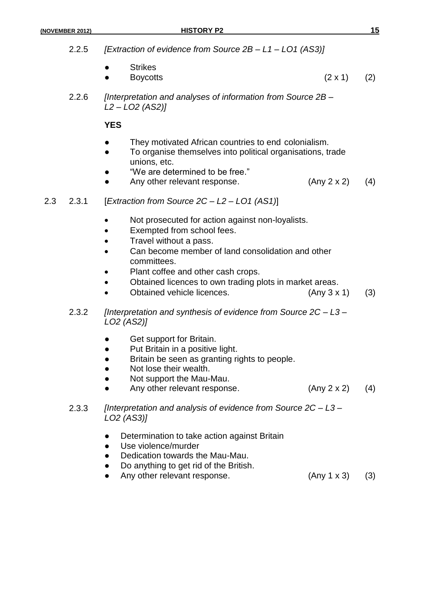2.2.5 *[Extraction of evidence from Source 2B – L1 – LO1 (AS3)]*

**Strikes**  $\text{Boycotts}$  (2 x 1) (2) 2.2.6 *[Interpretation and analyses of information from Source 2B – L2 – LO2 (AS2)]* **YES** They motivated African countries to end colonialism. To organise themselves into political organisations, trade unions, etc. "We are determined to be free." Any other relevant response.  $(Any 2 x 2)$  (4) 2.3 2.3.1 [*Extraction from Source 2C – L2 – LO1 (AS1)*] Not prosecuted for action against non-loyalists. Exempted from school fees. • Travel without a pass. • Can become member of land consolidation and other committees. Plant coffee and other cash crops. Obtained licences to own trading plots in market areas. • Obtained vehicle licences. (Any 3 x 1) (3) 2.3.2 *[Interpretation and synthesis of evidence from Source 2C – L3 – LO2 (AS2)]* ● Get support for Britain. ● Put Britain in a positive light. Britain be seen as granting rights to people. Not lose their wealth. Not support the Mau-Mau. Any other relevant response.  $(Any 2 x 2)$  (4) 2.3.3 *[Interpretation and analysis of evidence from Source 2C – L3 – LO2 (AS3)]* ● Determination to take action against Britain ● Use violence/murder Dedication towards the Mau-Mau. ● Do anything to get rid of the British. Any other relevant response.  $(4ny 1 x 3)$  (3)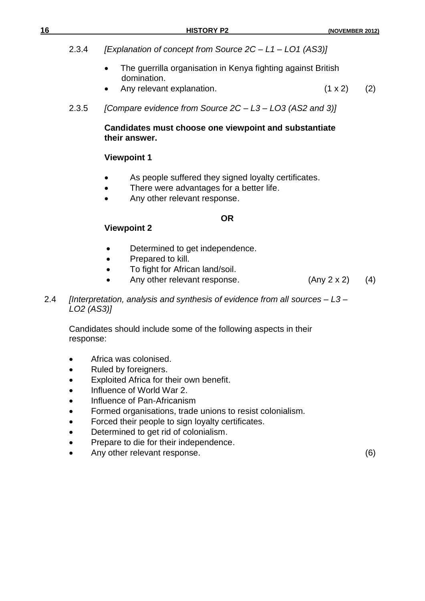# 2.3.4 *[Explanation of concept from Source 2C – L1 – LO1 (AS3)]*

- The guerrilla organisation in Kenya fighting against British domination.
- Any relevant explanation.  $(1 \times 2)$  (2)
- 2.3.5 *[Compare evidence from Source 2C – L3 – LO3 (AS2 and 3)]*

# **Candidates must choose one viewpoint and substantiate their answer.**

# **Viewpoint 1**

- As people suffered they signed loyalty certificates.
- There were advantages for a better life.
- Any other relevant response.

# **OR**

# **Viewpoint 2**

- Determined to get independence.
- Prepared to kill.
- To fight for African land/soil.
- Any other relevant response.  $(Any 2 x 2)$   $(4)$
- 2.4 *[Interpretation, analysis and synthesis of evidence from all sources – L3 – LO2 (AS3)]*

Candidates should include some of the following aspects in their response:

- Africa was colonised.
- Ruled by foreigners.
- Exploited Africa for their own benefit.
- Influence of World War 2.
- Influence of Pan-Africanism
- Formed organisations, trade unions to resist colonialism.
- Forced their people to sign loyalty certificates.
- Determined to get rid of colonialism.
- Prepare to die for their independence.
- Any other relevant response. (6)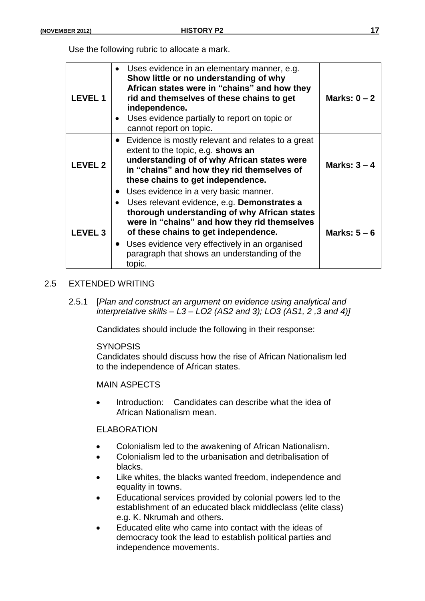Use the following rubric to allocate a mark.

| <b>LEVEL1</b>  | Uses evidence in an elementary manner, e.g.<br>Show little or no understanding of why<br>African states were in "chains" and how they<br>rid and themselves of these chains to get<br>independence.<br>Uses evidence partially to report on topic or<br>$\bullet$<br>cannot report on topic.      | Marks: $0 - 2$ |
|----------------|---------------------------------------------------------------------------------------------------------------------------------------------------------------------------------------------------------------------------------------------------------------------------------------------------|----------------|
| <b>LEVEL 2</b> | • Evidence is mostly relevant and relates to a great<br>extent to the topic, e.g. shows an<br>understanding of of why African states were<br>in "chains" and how they rid themselves of<br>these chains to get independence.<br>• Uses evidence in a very basic manner.                           | Marks: $3 - 4$ |
| <b>LEVEL 3</b> | Uses relevant evidence, e.g. Demonstrates a<br>thorough understanding of why African states<br>were in "chains" and how they rid themselves<br>of these chains to get independence.<br>• Uses evidence very effectively in an organised<br>paragraph that shows an understanding of the<br>topic. | Marks: $5-6$   |

# 2.5 EXTENDED WRITING

2.5.1 [*Plan and construct an argument on evidence using analytical and interpretative skills – L3 – LO2 (AS2 and 3); LO3 (AS1, 2 ,3 and 4)]*

Candidates should include the following in their response:

#### **SYNOPSIS**

Candidates should discuss how the rise of African Nationalism led to the independence of African states.

#### MAIN ASPECTS

 Introduction: Candidates can describe what the idea of African Nationalism mean.

#### ELABORATION

- Colonialism led to the awakening of African Nationalism.
- Colonialism led to the urbanisation and detribalisation of blacks.
- Like whites, the blacks wanted freedom, independence and equality in towns.
- Educational services provided by colonial powers led to the establishment of an educated black middleclass (elite class) e.g. K. Nkrumah and others.
- Educated elite who came into contact with the ideas of democracy took the lead to establish political parties and independence movements.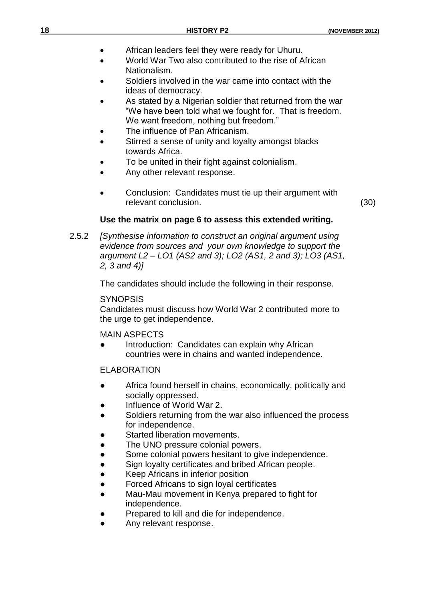- African leaders feel they were ready for Uhuru.
- World War Two also contributed to the rise of African Nationalism.
- Soldiers involved in the war came into contact with the ideas of democracy.
- As stated by a Nigerian soldier that returned from the war "We have been told what we fought for. That is freedom. We want freedom, nothing but freedom."
- The influence of Pan Africanism.
- Stirred a sense of unity and loyalty amongst blacks towards Africa.
- To be united in their fight against colonialism.
- Any other relevant response.
- Conclusion: Candidates must tie up their argument with relevant conclusion. (30)

#### **Use the matrix on page 6 to assess this extended writing.**

2.5.2 *[Synthesise information to construct an original argument using evidence from sources and your own knowledge to support the argument L2 – LO1 (AS2 and 3); LO2 (AS1, 2 and 3); LO3 (AS1, 2, 3 and 4)]*

The candidates should include the following in their response.

#### **SYNOPSIS**

Candidates must discuss how World War 2 contributed more to the urge to get independence.

MAIN ASPECTS

Introduction: Candidates can explain why African countries were in chains and wanted independence.

#### ELABORATION

- Africa found herself in chains, economically, politically and socially oppressed.
- Influence of World War 2.
- Soldiers returning from the war also influenced the process for independence.
- Started liberation movements.
- The UNO pressure colonial powers.
- Some colonial powers hesitant to give independence.
- Sign loyalty certificates and bribed African people.
- Keep Africans in inferior position
- Forced Africans to sign loyal certificates
- Mau-Mau movement in Kenya prepared to fight for independence.
- Prepared to kill and die for independence.
- Any relevant response.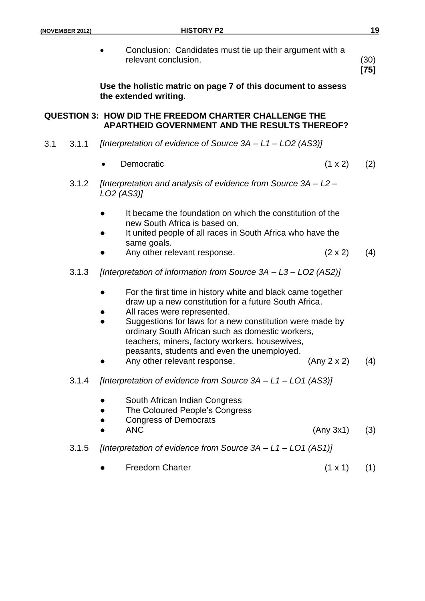Conclusion: Candidates must tie up their argument with a relevant conclusion. (30)

**[75]**

**Use the holistic matric on page 7 of this document to assess the extended writing.**

#### **QUESTION 3: HOW DID THE FREEDOM CHARTER CHALLENGE THE APARTHEID GOVERNMENT AND THE RESULTS THEREOF?**

- 3.1 3.1.1 *[Interpretation of evidence of Source 3A – L1 – LO2 (AS3)]*
	- Democratic  $(1 \times 2)$  (2)
	- 3.1.2 *[Interpretation and analysis of evidence from Source 3A – L2 – LO2 (AS3)]*
		- It became the foundation on which the constitution of the new South Africa is based on.
		- It united people of all races in South Africa who have the same goals.
		- Any other relevant response.  $(2 \times 2)$  (4)
	- 3.1.3 *[Interpretation of information from Source 3A – L3 – LO2 (AS2)]*
		- For the first time in history white and black came together draw up a new constitution for a future South Africa.
		- All races were represented.
		- Suggestions for laws for a new constitution were made by ordinary South African such as domestic workers, teachers, miners, factory workers, housewives, peasants, students and even the unemployed.
		- Any other relevant response.  $(Any 2 x 2)$  (4)
	- 3.1.4 *[Interpretation of evidence from Source 3A – L1 – LO1 (AS3)]*
		- South African Indian Congress
		- The Coloured People's Congress
		- Congress of Democrats
		- $\text{ANC}$  (Any 3x1) (3)
	- 3.1.5 *[Interpretation of evidence from Source 3A – L1 – LO1 (AS1)]*
		- Freedom Charter (1 x 1) (1)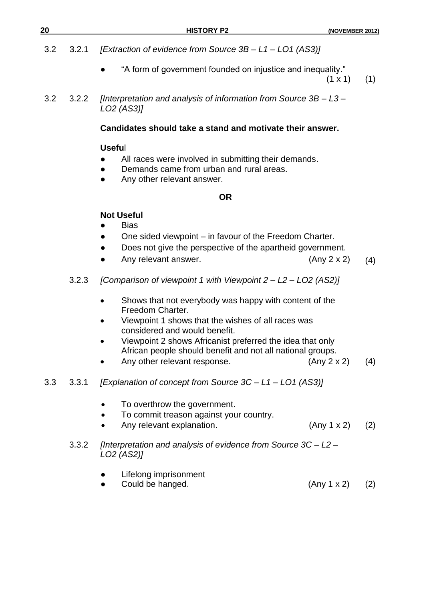|     |       | "A form of government founded on injustice and inequality."<br>$(1 \times 1)$                                                                                                                                                                                                                                                               | (1) |  |  |
|-----|-------|---------------------------------------------------------------------------------------------------------------------------------------------------------------------------------------------------------------------------------------------------------------------------------------------------------------------------------------------|-----|--|--|
| 3.2 | 3.2.2 | [Interpretation and analysis of information from Source $3B - L3 -$<br>LO2 (AS3)]                                                                                                                                                                                                                                                           |     |  |  |
|     |       | Candidates should take a stand and motivate their answer.                                                                                                                                                                                                                                                                                   |     |  |  |
|     |       | <b>Useful</b><br>All races were involved in submitting their demands.<br>Demands came from urban and rural areas.<br>Any other relevant answer.                                                                                                                                                                                             |     |  |  |
|     |       | <b>OR</b>                                                                                                                                                                                                                                                                                                                                   |     |  |  |
|     |       | <b>Not Useful</b><br><b>Bias</b><br>One sided viewpoint – in favour of the Freedom Charter.<br>Does not give the perspective of the apartheid government.<br>(Any 2 x 2)<br>Any relevant answer.                                                                                                                                            | (4) |  |  |
|     | 3.2.3 | [Comparison of viewpoint 1 with Viewpoint $2 - L2 - L02$ (AS2)]                                                                                                                                                                                                                                                                             |     |  |  |
|     |       | Shows that not everybody was happy with content of the<br>Freedom Charter.<br>Viewpoint 1 shows that the wishes of all races was<br>considered and would benefit.<br>Viewpoint 2 shows Africanist preferred the idea that only<br>African people should benefit and not all national groups.<br>Any other relevant response.<br>(Any 2 x 2) | (4) |  |  |
| 3.3 | 3.3.1 | [Explanation of concept from Source 3C - L1 - LO1 (AS3)]                                                                                                                                                                                                                                                                                    |     |  |  |
|     |       | To overthrow the government.<br>To commit treason against your country.<br>Any relevant explanation.<br>(Any 1 x 2)                                                                                                                                                                                                                         | (2) |  |  |
|     | 3.3.2 | [Interpretation and analysis of evidence from Source 3C - L2 -<br>LO2 (AS2)]                                                                                                                                                                                                                                                                |     |  |  |
|     |       | Lifelong imprisonment<br>(Any 1 x 2)<br>Could be hanged.                                                                                                                                                                                                                                                                                    | (2) |  |  |
|     |       |                                                                                                                                                                                                                                                                                                                                             |     |  |  |

3.2 3.2.1 *[Extraction of evidence from Source 3B – L1 – LO1 (AS3)]*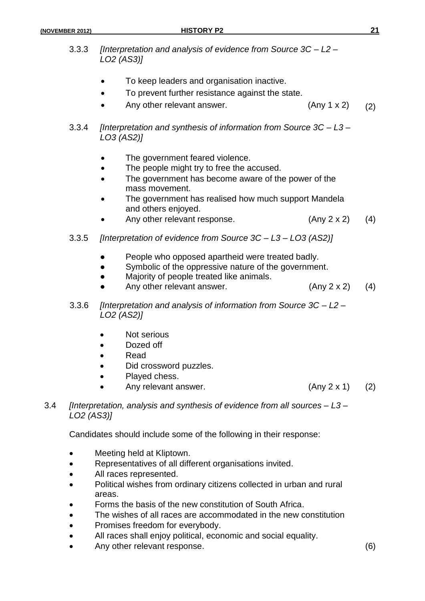- 3.3.3 *[Interpretation and analysis of evidence from Source 3C – L2 – LO2 (AS3)]*
	- To keep leaders and organisation inactive.
	- To prevent further resistance against the state.
	- Any other relevant answer.  $(Any 1 x 2)$  (2)
- 3.3.4 *[Interpretation and synthesis of information from Source 3C – L3 – LO3 (AS2)]*
	- The government feared violence.
	- The people might try to free the accused.
	- The government has become aware of the power of the mass movement.
	- The government has realised how much support Mandela and others enjoyed.
	- Any other relevant response.  $(Any 2 x 2)$   $(4)$
- 3.3.5 *[Interpretation of evidence from Source 3C – L3 – LO3 (AS2)]*
	- People who opposed apartheid were treated badly.
	- Symbolic of the oppressive nature of the government.
	- Majority of people treated like animals.
	- Any other relevant answer.  $(Any 2 x 2)$  (4)
- 3.3.6 *[Interpretation and analysis of information from Source 3C – L2 – LO2 (AS2)]*
	- Not serious
	- Dozed off
	- Read
	- Did crossword puzzles.
	- Played chess.
	- Any relevant answer. (Any 2 x 1) (2)
		-
- 3.4 *[Interpretation, analysis and synthesis of evidence from all sources – L3 – LO2 (AS3)]*

Candidates should include some of the following in their response:

- Meeting held at Kliptown.
- Representatives of all different organisations invited.
- All races represented.
- Political wishes from ordinary citizens collected in urban and rural areas.
- Forms the basis of the new constitution of South Africa.
- The wishes of all races are accommodated in the new constitution
- Promises freedom for everybody.
- All races shall enjoy political, economic and social equality.
- Any other relevant response. (6)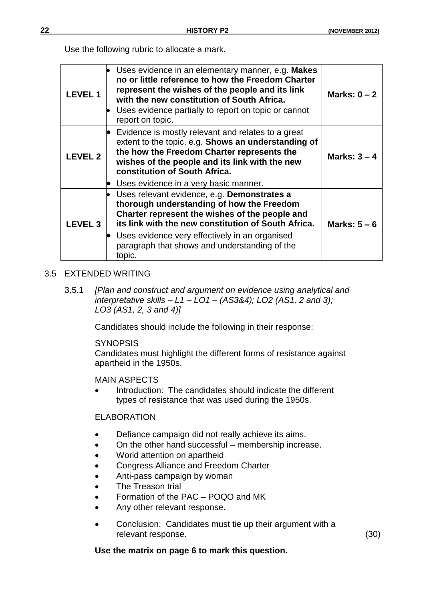Use the following rubric to allocate a mark.

| <b>LEVEL 1</b> | Uses evidence in an elementary manner, e.g. Makes<br>no or little reference to how the Freedom Charter<br>represent the wishes of the people and its link<br>with the new constitution of South Africa.<br>Uses evidence partially to report on topic or cannot<br>report on topic.                            | Marks: $0 - 2$ |
|----------------|----------------------------------------------------------------------------------------------------------------------------------------------------------------------------------------------------------------------------------------------------------------------------------------------------------------|----------------|
| <b>LEVEL 2</b> | $\bullet$ Evidence is mostly relevant and relates to a great<br>extent to the topic, e.g. Shows an understanding of<br>the how the Freedom Charter represents the<br>wishes of the people and its link with the new<br>constitution of South Africa.<br>$\bullet$ Uses evidence in a very basic manner.        | Marks: $3 - 4$ |
| <b>LEVEL 3</b> | Uses relevant evidence, e.g. Demonstrates a<br>thorough understanding of how the Freedom<br>Charter represent the wishes of the people and<br>its link with the new constitution of South Africa.<br>Uses evidence very effectively in an organised<br>paragraph that shows and understanding of the<br>topic. | Marks: $5-6$   |

# 3.5 EXTENDED WRITING

3.5.1 *[Plan and construct and argument on evidence using analytical and interpretative skills – L1 – LO1 – (AS3&4); LO2 (AS1, 2 and 3); LO3 (AS1, 2, 3 and 4)]*

Candidates should include the following in their response:

#### **SYNOPSIS**

Candidates must highlight the different forms of resistance against apartheid in the 1950s.

MAIN ASPECTS

 Introduction: The candidates should indicate the different types of resistance that was used during the 1950s.

# ELABORATION

- Defiance campaign did not really achieve its aims.
- On the other hand successful membership increase.
- World attention on apartheid
- Congress Alliance and Freedom Charter
- Anti-pass campaign by woman
- The Treason trial
- Formation of the PAC POQO and MK
- Any other relevant response.
- Conclusion: Candidates must tie up their argument with a relevant response. (30)

#### **Use the matrix on page 6 to mark this question.**